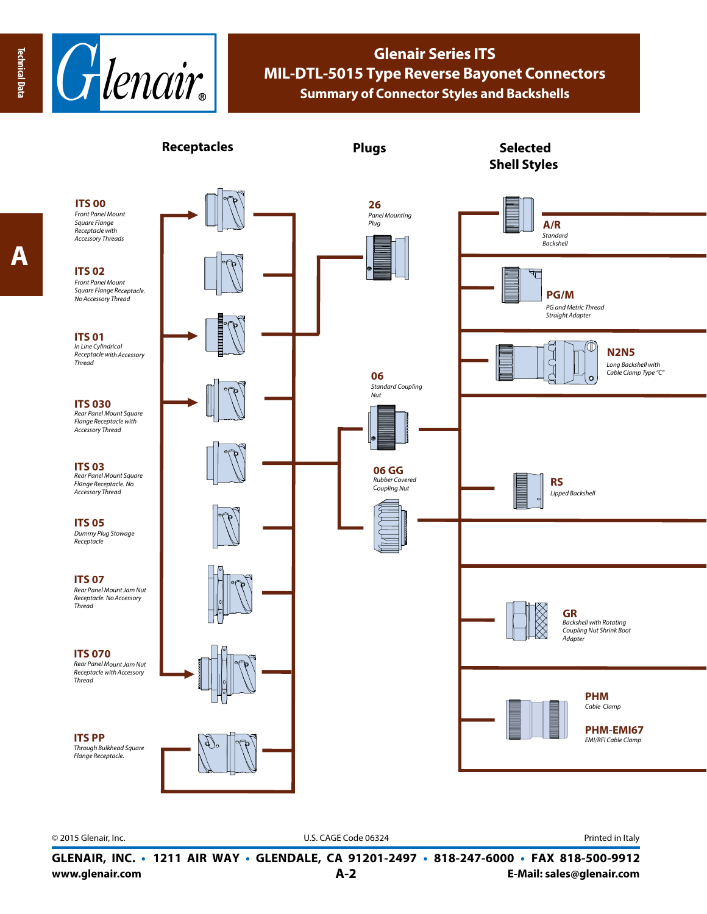$\boldsymbol{\mathsf{A}}$ 



## **Glenair Series ITS MIL-DTL-5015 Type Reverse Bayonet Connectors Summary of Connector Styles and Backshells**



© 2015 Glenair, Inc. **Discription Construction Construction Construction Construction Construction Construction Construction Construction Construction Construction Construction Construction Construction Construction Constr** 

**www.glenair.com A-2 E-Mail: sales@glenair.com GLENAIR, INC. • 1211 AIR WAY • GLENDALE, CA 91201-2497 • 818-247-6000 • FAX 818-500-9912**